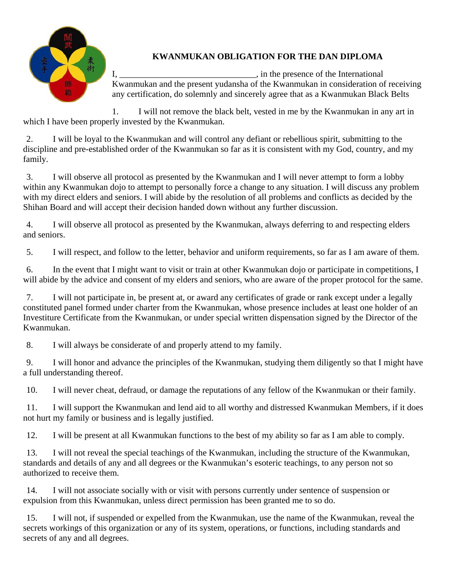

## **KWANMUKAN OBLIGATION FOR THE DAN DIPLOMA**

I, \_\_\_\_\_\_\_\_\_\_\_\_\_\_\_\_\_\_\_\_\_\_\_\_\_\_\_\_\_\_\_, in the presence of the International Kwanmukan and the present yudansha of the Kwanmukan in consideration of receiving any certification, do solemnly and sincerely agree that as a Kwanmukan Black Belts

1. I will not remove the black belt, vested in me by the Kwanmukan in any art in which I have been properly invested by the Kwanmukan.

2. I will be loyal to the Kwanmukan and will control any defiant or rebellious spirit, submitting to the discipline and pre-established order of the Kwanmukan so far as it is consistent with my God, country, and my family.

3. I will observe all protocol as presented by the Kwanmukan and I will never attempt to form a lobby within any Kwanmukan dojo to attempt to personally force a change to any situation. I will discuss any problem with my direct elders and seniors. I will abide by the resolution of all problems and conflicts as decided by the Shihan Board and will accept their decision handed down without any further discussion.

4. I will observe all protocol as presented by the Kwanmukan, always deferring to and respecting elders and seniors.

5. I will respect, and follow to the letter, behavior and uniform requirements, so far as I am aware of them.

6. In the event that I might want to visit or train at other Kwanmukan dojo or participate in competitions, I will abide by the advice and consent of my elders and seniors, who are aware of the proper protocol for the same.

7. I will not participate in, be present at, or award any certificates of grade or rank except under a legally constituted panel formed under charter from the Kwanmukan, whose presence includes at least one holder of an Investiture Certificate from the Kwanmukan, or under special written dispensation signed by the Director of the Kwanmukan.

8. I will always be considerate of and properly attend to my family.

9. I will honor and advance the principles of the Kwanmukan, studying them diligently so that I might have a full understanding thereof.

10. I will never cheat, defraud, or damage the reputations of any fellow of the Kwanmukan or their family.

11. I will support the Kwanmukan and lend aid to all worthy and distressed Kwanmukan Members, if it does not hurt my family or business and is legally justified.

12. I will be present at all Kwanmukan functions to the best of my ability so far as I am able to comply.

13. I will not reveal the special teachings of the Kwanmukan, including the structure of the Kwanmukan, standards and details of any and all degrees or the Kwanmukan's esoteric teachings, to any person not so authorized to receive them.

14. I will not associate socially with or visit with persons currently under sentence of suspension or expulsion from this Kwanmukan, unless direct permission has been granted me to so do.

15. I will not, if suspended or expelled from the Kwanmukan, use the name of the Kwanmukan, reveal the secrets workings of this organization or any of its system, operations, or functions, including standards and secrets of any and all degrees.